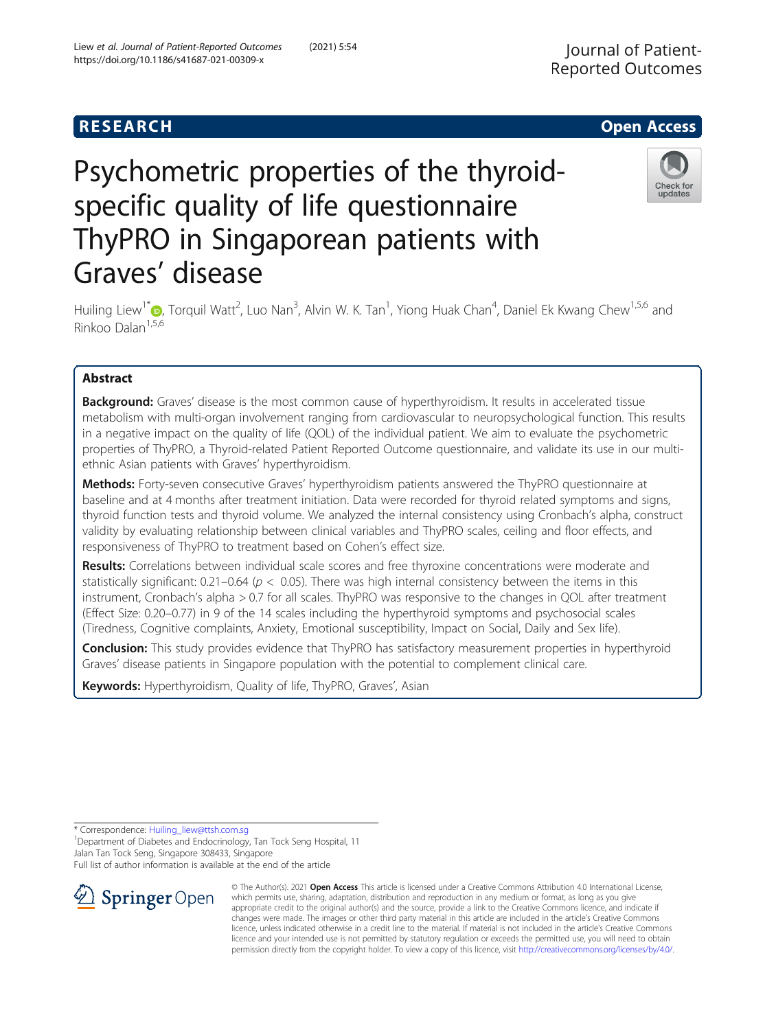# Psychometric properties of the thyroidspecific quality of life questionnaire ThyPRO in Singaporean patients with Graves' disease



Huiling Liew<sup>1\*</sup>�[,](http://orcid.org/0000-0002-0956-5759) Torquil Watt<sup>2</sup>, Luo Nan<sup>3</sup>, Alvin W. K. Tan<sup>1</sup>, Yiong Huak Chan<sup>4</sup>, Daniel Ek Kwang Chew<sup>1,5,6</sup> and Rinkoo Dalan<sup>1,5,6</sup>

# Abstract

**Background:** Graves' disease is the most common cause of hyperthyroidism. It results in accelerated tissue metabolism with multi-organ involvement ranging from cardiovascular to neuropsychological function. This results in a negative impact on the quality of life (QOL) of the individual patient. We aim to evaluate the psychometric properties of ThyPRO, a Thyroid-related Patient Reported Outcome questionnaire, and validate its use in our multiethnic Asian patients with Graves' hyperthyroidism.

Methods: Forty-seven consecutive Graves' hyperthyroidism patients answered the ThyPRO questionnaire at baseline and at 4 months after treatment initiation. Data were recorded for thyroid related symptoms and signs, thyroid function tests and thyroid volume. We analyzed the internal consistency using Cronbach's alpha, construct validity by evaluating relationship between clinical variables and ThyPRO scales, ceiling and floor effects, and responsiveness of ThyPRO to treatment based on Cohen's effect size.

Results: Correlations between individual scale scores and free thyroxine concentrations were moderate and statistically significant: 0.21–0.64 ( $p < 0.05$ ). There was high internal consistency between the items in this instrument, Cronbach's alpha > 0.7 for all scales. ThyPRO was responsive to the changes in QOL after treatment (Effect Size: 0.20–0.77) in 9 of the 14 scales including the hyperthyroid symptoms and psychosocial scales (Tiredness, Cognitive complaints, Anxiety, Emotional susceptibility, Impact on Social, Daily and Sex life).

Conclusion: This study provides evidence that ThyPRO has satisfactory measurement properties in hyperthyroid Graves' disease patients in Singapore population with the potential to complement clinical care.

Keywords: Hyperthyroidism, Quality of life, ThyPRO, Graves', Asian

\* Correspondence: [Huiling\\_liew@ttsh.com.sg](mailto:Huiling_liew@ttsh.com.sg) <sup>1</sup>

<sup>1</sup> Department of Diabetes and Endocrinology, Tan Tock Seng Hospital, 11 Jalan Tan Tock Seng, Singapore 308433, Singapore

Full list of author information is available at the end of the article



© The Author(s). 2021 Open Access This article is licensed under a Creative Commons Attribution 4.0 International License, which permits use, sharing, adaptation, distribution and reproduction in any medium or format, as long as you give appropriate credit to the original author(s) and the source, provide a link to the Creative Commons licence, and indicate if changes were made. The images or other third party material in this article are included in the article's Creative Commons licence, unless indicated otherwise in a credit line to the material. If material is not included in the article's Creative Commons licence and your intended use is not permitted by statutory regulation or exceeds the permitted use, you will need to obtain permission directly from the copyright holder. To view a copy of this licence, visit <http://creativecommons.org/licenses/by/4.0/>.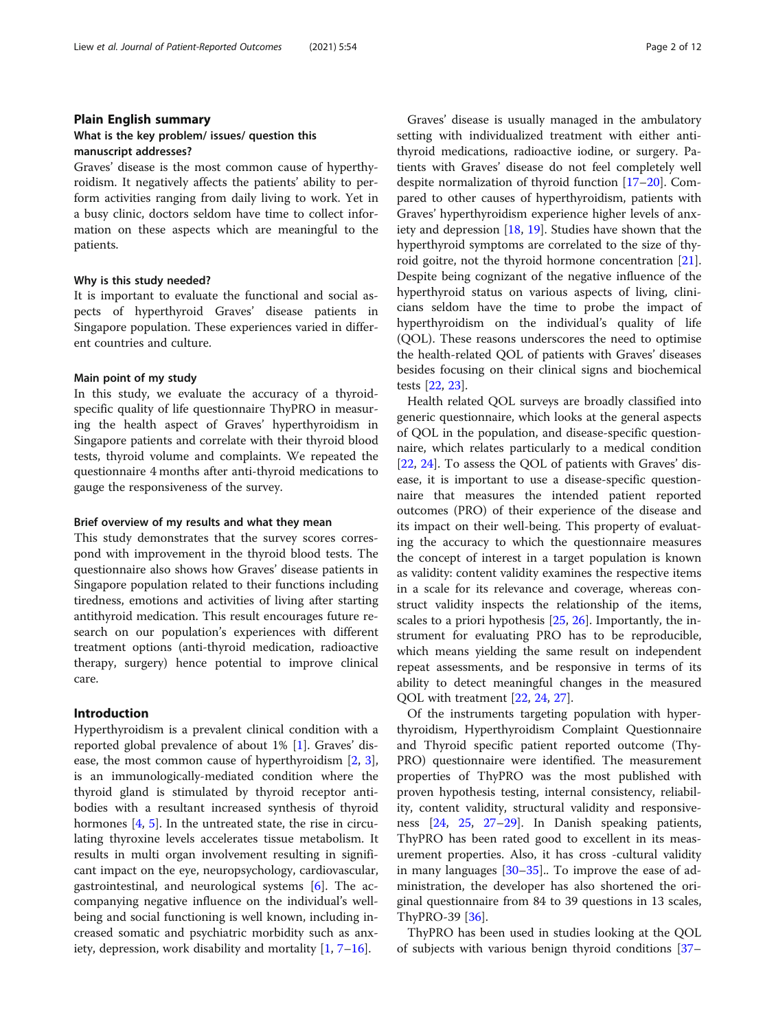# Plain English summary What is the key problem/ issues/ question this

#### manuscript addresses?

Graves' disease is the most common cause of hyperthyroidism. It negatively affects the patients' ability to perform activities ranging from daily living to work. Yet in a busy clinic, doctors seldom have time to collect information on these aspects which are meaningful to the patients.

#### Why is this study needed?

It is important to evaluate the functional and social aspects of hyperthyroid Graves' disease patients in Singapore population. These experiences varied in different countries and culture.

#### Main point of my study

In this study, we evaluate the accuracy of a thyroidspecific quality of life questionnaire ThyPRO in measuring the health aspect of Graves' hyperthyroidism in Singapore patients and correlate with their thyroid blood tests, thyroid volume and complaints. We repeated the questionnaire 4 months after anti-thyroid medications to gauge the responsiveness of the survey.

#### Brief overview of my results and what they mean

This study demonstrates that the survey scores correspond with improvement in the thyroid blood tests. The questionnaire also shows how Graves' disease patients in Singapore population related to their functions including tiredness, emotions and activities of living after starting antithyroid medication. This result encourages future research on our population's experiences with different treatment options (anti-thyroid medication, radioactive therapy, surgery) hence potential to improve clinical care.

#### Introduction

Hyperthyroidism is a prevalent clinical condition with a reported global prevalence of about 1% [[1\]](#page-9-0). Graves' disease, the most common cause of hyperthyroidism [[2,](#page-9-0) [3](#page-9-0)], is an immunologically-mediated condition where the thyroid gland is stimulated by thyroid receptor antibodies with a resultant increased synthesis of thyroid hormones  $[4, 5]$  $[4, 5]$  $[4, 5]$  $[4, 5]$ . In the untreated state, the rise in circulating thyroxine levels accelerates tissue metabolism. It results in multi organ involvement resulting in significant impact on the eye, neuropsychology, cardiovascular, gastrointestinal, and neurological systems [\[6](#page-9-0)]. The accompanying negative influence on the individual's wellbeing and social functioning is well known, including increased somatic and psychiatric morbidity such as anxiety, depression, work disability and mortality [[1,](#page-9-0) [7](#page-9-0)–[16\]](#page-9-0).

Graves' disease is usually managed in the ambulatory setting with individualized treatment with either antithyroid medications, radioactive iodine, or surgery. Patients with Graves' disease do not feel completely well despite normalization of thyroid function [[17](#page-9-0)–[20\]](#page-9-0). Compared to other causes of hyperthyroidism, patients with Graves' hyperthyroidism experience higher levels of anxiety and depression [[18,](#page-9-0) [19\]](#page-9-0). Studies have shown that the hyperthyroid symptoms are correlated to the size of thyroid goitre, not the thyroid hormone concentration [\[21](#page-10-0)]. Despite being cognizant of the negative influence of the hyperthyroid status on various aspects of living, clinicians seldom have the time to probe the impact of hyperthyroidism on the individual's quality of life (QOL). These reasons underscores the need to optimise the health-related QOL of patients with Graves' diseases besides focusing on their clinical signs and biochemical tests [\[22,](#page-10-0) [23\]](#page-10-0).

Health related QOL surveys are broadly classified into generic questionnaire, which looks at the general aspects of QOL in the population, and disease-specific questionnaire, which relates particularly to a medical condition [[22,](#page-10-0) [24\]](#page-10-0). To assess the QOL of patients with Graves' disease, it is important to use a disease-specific questionnaire that measures the intended patient reported outcomes (PRO) of their experience of the disease and its impact on their well-being. This property of evaluating the accuracy to which the questionnaire measures the concept of interest in a target population is known as validity: content validity examines the respective items in a scale for its relevance and coverage, whereas construct validity inspects the relationship of the items, scales to a priori hypothesis [[25](#page-10-0), [26](#page-10-0)]. Importantly, the instrument for evaluating PRO has to be reproducible, which means yielding the same result on independent repeat assessments, and be responsive in terms of its ability to detect meaningful changes in the measured QOL with treatment [\[22](#page-10-0), [24](#page-10-0), [27](#page-10-0)].

Of the instruments targeting population with hyperthyroidism, Hyperthyroidism Complaint Questionnaire and Thyroid specific patient reported outcome (Thy-PRO) questionnaire were identified. The measurement properties of ThyPRO was the most published with proven hypothesis testing, internal consistency, reliability, content validity, structural validity and responsiveness [[24](#page-10-0), [25,](#page-10-0) [27](#page-10-0)–[29\]](#page-10-0). In Danish speaking patients, ThyPRO has been rated good to excellent in its measurement properties. Also, it has cross -cultural validity in many languages  $[30-35]$  $[30-35]$  $[30-35]$ . To improve the ease of administration, the developer has also shortened the original questionnaire from 84 to 39 questions in 13 scales, ThyPRO-39 [[36\]](#page-10-0).

ThyPRO has been used in studies looking at the QOL of subjects with various benign thyroid conditions [[37](#page-10-0)–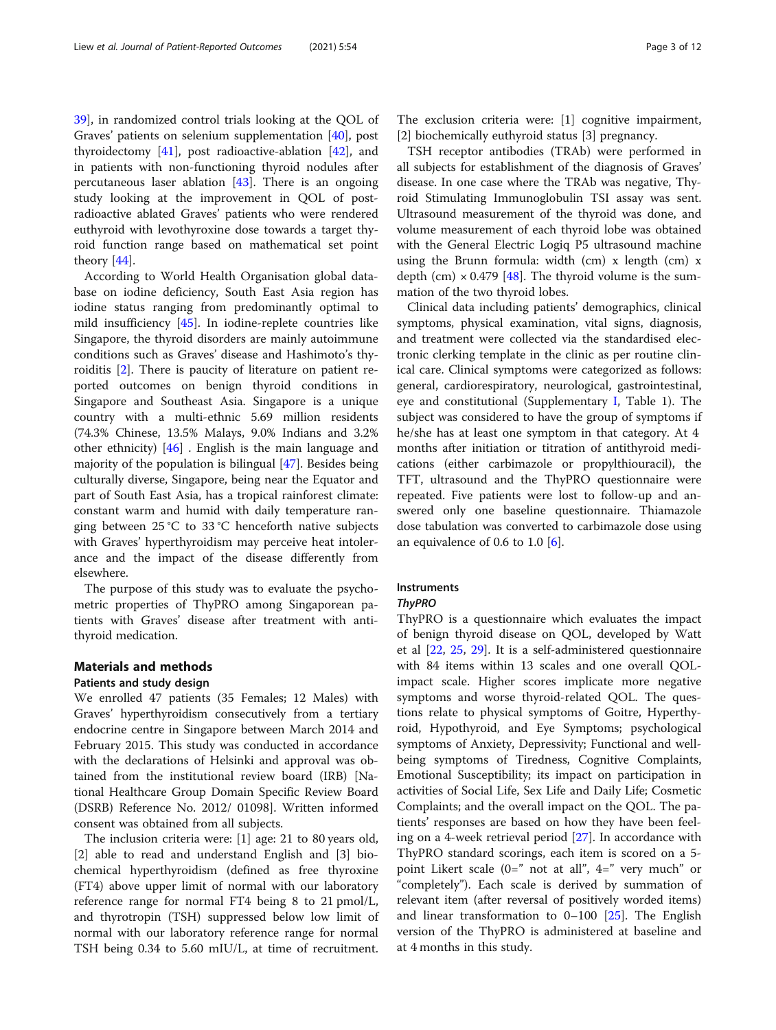[39\]](#page-10-0), in randomized control trials looking at the QOL of Graves' patients on selenium supplementation [[40](#page-10-0)], post thyroidectomy [[41\]](#page-10-0), post radioactive-ablation [\[42](#page-10-0)], and in patients with non-functioning thyroid nodules after percutaneous laser ablation [\[43](#page-10-0)]. There is an ongoing study looking at the improvement in QOL of postradioactive ablated Graves' patients who were rendered euthyroid with levothyroxine dose towards a target thyroid function range based on mathematical set point theory [[44\]](#page-10-0).

According to World Health Organisation global database on iodine deficiency, South East Asia region has iodine status ranging from predominantly optimal to mild insufficiency [[45\]](#page-10-0). In iodine-replete countries like Singapore, the thyroid disorders are mainly autoimmune conditions such as Graves' disease and Hashimoto's thyroiditis [\[2](#page-9-0)]. There is paucity of literature on patient reported outcomes on benign thyroid conditions in Singapore and Southeast Asia. Singapore is a unique country with a multi-ethnic 5.69 million residents (74.3% Chinese, 13.5% Malays, 9.0% Indians and 3.2% other ethnicity) [[46\]](#page-10-0) . English is the main language and majority of the population is bilingual [[47](#page-10-0)]. Besides being culturally diverse, Singapore, being near the Equator and part of South East Asia, has a tropical rainforest climate: constant warm and humid with daily temperature ranging between 25 °C to 33 °C henceforth native subjects with Graves' hyperthyroidism may perceive heat intolerance and the impact of the disease differently from elsewhere.

The purpose of this study was to evaluate the psychometric properties of ThyPRO among Singaporean patients with Graves' disease after treatment with antithyroid medication.

# Materials and methods

#### Patients and study design

We enrolled 47 patients (35 Females; 12 Males) with Graves' hyperthyroidism consecutively from a tertiary endocrine centre in Singapore between March 2014 and February 2015. This study was conducted in accordance with the declarations of Helsinki and approval was obtained from the institutional review board (IRB) [National Healthcare Group Domain Specific Review Board (DSRB) Reference No. 2012/ 01098]. Written informed consent was obtained from all subjects.

The inclusion criteria were: [1] age: 21 to 80 years old, [2] able to read and understand English and [3] biochemical hyperthyroidism (defined as free thyroxine (FT4) above upper limit of normal with our laboratory reference range for normal FT4 being 8 to 21 pmol/L, and thyrotropin (TSH) suppressed below low limit of normal with our laboratory reference range for normal TSH being 0.34 to 5.60 mIU/L, at time of recruitment. The exclusion criteria were: [1] cognitive impairment, [2] biochemically euthyroid status [3] pregnancy.

TSH receptor antibodies (TRAb) were performed in all subjects for establishment of the diagnosis of Graves' disease. In one case where the TRAb was negative, Thyroid Stimulating Immunoglobulin TSI assay was sent. Ultrasound measurement of the thyroid was done, and volume measurement of each thyroid lobe was obtained with the General Electric Logiq P5 ultrasound machine using the Brunn formula: width (cm) x length (cm) x depth (cm)  $\times$  0.479 [[48\]](#page-10-0). The thyroid volume is the summation of the two thyroid lobes.

Clinical data including patients' demographics, clinical symptoms, physical examination, vital signs, diagnosis, and treatment were collected via the standardised electronic clerking template in the clinic as per routine clinical care. Clinical symptoms were categorized as follows: general, cardiorespiratory, neurological, gastrointestinal, eye and constitutional (Supplementary [I](#page-8-0), Table 1). The subject was considered to have the group of symptoms if he/she has at least one symptom in that category. At 4 months after initiation or titration of antithyroid medications (either carbimazole or propylthiouracil), the TFT, ultrasound and the ThyPRO questionnaire were repeated. Five patients were lost to follow-up and answered only one baseline questionnaire. Thiamazole dose tabulation was converted to carbimazole dose using an equivalence of 0.6 to 1.0  $[6]$ .

# Instruments

#### **ThyPRO**

ThyPRO is a questionnaire which evaluates the impact of benign thyroid disease on QOL, developed by Watt et al [\[22,](#page-10-0) [25,](#page-10-0) [29](#page-10-0)]. It is a self-administered questionnaire with 84 items within 13 scales and one overall QOLimpact scale. Higher scores implicate more negative symptoms and worse thyroid-related QOL. The questions relate to physical symptoms of Goitre, Hyperthyroid, Hypothyroid, and Eye Symptoms; psychological symptoms of Anxiety, Depressivity; Functional and wellbeing symptoms of Tiredness, Cognitive Complaints, Emotional Susceptibility; its impact on participation in activities of Social Life, Sex Life and Daily Life; Cosmetic Complaints; and the overall impact on the QOL. The patients' responses are based on how they have been feeling on a 4-week retrieval period [\[27\]](#page-10-0). In accordance with ThyPRO standard scorings, each item is scored on a 5 point Likert scale  $(0=$ " not at all",  $4=$ " very much" or "completely"). Each scale is derived by summation of relevant item (after reversal of positively worded items) and linear transformation to  $0-100$  [[25\]](#page-10-0). The English version of the ThyPRO is administered at baseline and at 4 months in this study.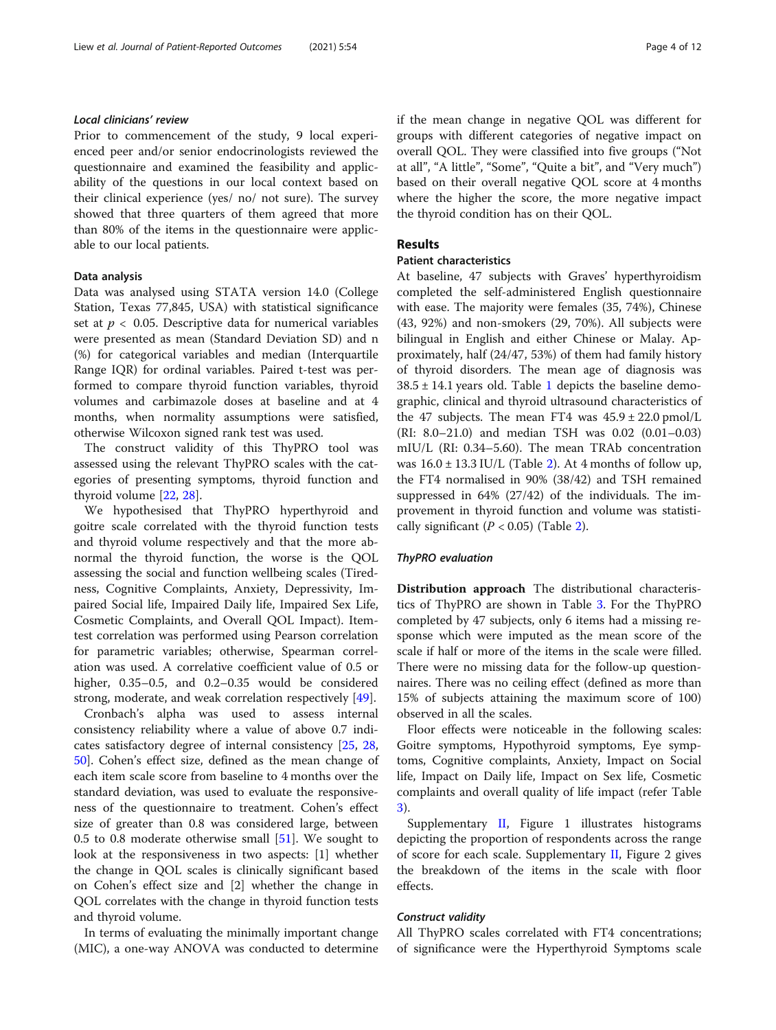### Local clinicians' review

Prior to commencement of the study, 9 local experienced peer and/or senior endocrinologists reviewed the questionnaire and examined the feasibility and applicability of the questions in our local context based on their clinical experience (yes/ no/ not sure). The survey showed that three quarters of them agreed that more than 80% of the items in the questionnaire were applicable to our local patients.

#### Data analysis

Data was analysed using STATA version 14.0 (College Station, Texas 77,845, USA) with statistical significance set at  $p < 0.05$ . Descriptive data for numerical variables were presented as mean (Standard Deviation SD) and n (%) for categorical variables and median (Interquartile Range IQR) for ordinal variables. Paired t-test was performed to compare thyroid function variables, thyroid volumes and carbimazole doses at baseline and at 4 months, when normality assumptions were satisfied, otherwise Wilcoxon signed rank test was used.

The construct validity of this ThyPRO tool was assessed using the relevant ThyPRO scales with the categories of presenting symptoms, thyroid function and thyroid volume [\[22](#page-10-0), [28\]](#page-10-0).

We hypothesised that ThyPRO hyperthyroid and goitre scale correlated with the thyroid function tests and thyroid volume respectively and that the more abnormal the thyroid function, the worse is the QOL assessing the social and function wellbeing scales (Tiredness, Cognitive Complaints, Anxiety, Depressivity, Impaired Social life, Impaired Daily life, Impaired Sex Life, Cosmetic Complaints, and Overall QOL Impact). Itemtest correlation was performed using Pearson correlation for parametric variables; otherwise, Spearman correlation was used. A correlative coefficient value of 0.5 or higher, 0.35–0.5, and 0.2–0.35 would be considered strong, moderate, and weak correlation respectively [[49\]](#page-10-0).

Cronbach's alpha was used to assess internal consistency reliability where a value of above 0.7 indicates satisfactory degree of internal consistency [[25](#page-10-0), [28](#page-10-0), [50\]](#page-10-0). Cohen's effect size, defined as the mean change of each item scale score from baseline to 4 months over the standard deviation, was used to evaluate the responsiveness of the questionnaire to treatment. Cohen's effect size of greater than 0.8 was considered large, between 0.5 to 0.8 moderate otherwise small [\[51\]](#page-10-0). We sought to look at the responsiveness in two aspects: [1] whether the change in QOL scales is clinically significant based on Cohen's effect size and [2] whether the change in QOL correlates with the change in thyroid function tests and thyroid volume.

In terms of evaluating the minimally important change (MIC), a one-way ANOVA was conducted to determine if the mean change in negative QOL was different for groups with different categories of negative impact on overall QOL. They were classified into five groups ("Not at all", "A little", "Some", "Quite a bit", and "Very much") based on their overall negative QOL score at 4 months where the higher the score, the more negative impact the thyroid condition has on their QOL.

#### Results

# Patient characteristics

At baseline, 47 subjects with Graves' hyperthyroidism completed the self-administered English questionnaire with ease. The majority were females (35, 74%), Chinese (43, 92%) and non-smokers (29, 70%). All subjects were bilingual in English and either Chinese or Malay. Approximately, half (24/47, 53%) of them had family history of thyroid disorders. The mean age of diagnosis was  $38.5 \pm 14.1$  $38.5 \pm 14.1$  $38.5 \pm 14.1$  years old. Table 1 depicts the baseline demographic, clinical and thyroid ultrasound characteristics of the 47 subjects. The mean FT4 was  $45.9 \pm 22.0$  pmol/L (RI: 8.0–21.0) and median TSH was 0.02 (0.01–0.03) mIU/L (RI: 0.34–5.60). The mean TRAb concentration was  $16.0 \pm 13.3$  IU/L (Table [2\)](#page-4-0). At 4 months of follow up, the FT4 normalised in 90% (38/42) and TSH remained suppressed in 64% (27/42) of the individuals. The improvement in thyroid function and volume was statistically significant  $(P < 0.05)$  (Table [2\)](#page-4-0).

#### ThyPRO evaluation

Distribution approach The distributional characteristics of ThyPRO are shown in Table [3](#page-5-0). For the ThyPRO completed by 47 subjects, only 6 items had a missing response which were imputed as the mean score of the scale if half or more of the items in the scale were filled. There were no missing data for the follow-up questionnaires. There was no ceiling effect (defined as more than 15% of subjects attaining the maximum score of 100) observed in all the scales.

Floor effects were noticeable in the following scales: Goitre symptoms, Hypothyroid symptoms, Eye symptoms, Cognitive complaints, Anxiety, Impact on Social life, Impact on Daily life, Impact on Sex life, Cosmetic complaints and overall quality of life impact (refer Table [3\)](#page-5-0).

Supplementary [II,](#page-8-0) Figure 1 illustrates histograms depicting the proportion of respondents across the range of score for each scale. Supplementary [II](#page-8-0), Figure 2 gives the breakdown of the items in the scale with floor effects.

#### Construct validity

All ThyPRO scales correlated with FT4 concentrations; of significance were the Hyperthyroid Symptoms scale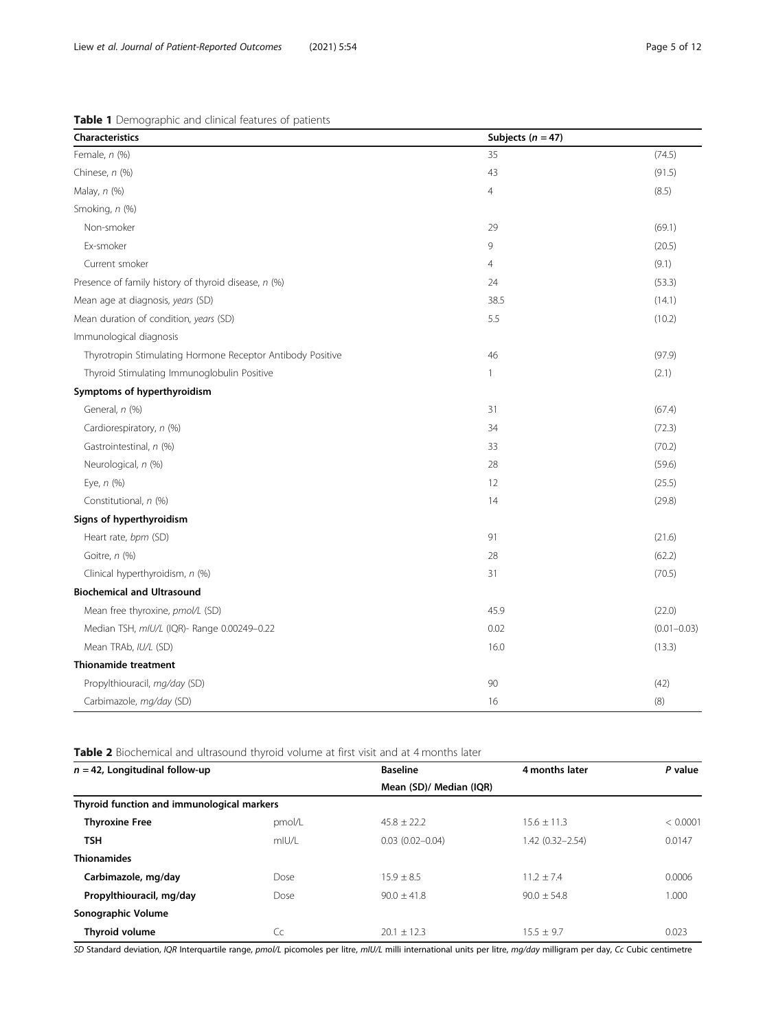<span id="page-4-0"></span>

| <b>Characteristics</b>                                     | Subjects ( $n = 47$ ) |                 |
|------------------------------------------------------------|-----------------------|-----------------|
| Female, n (%)                                              | 35                    | (74.5)          |
| Chinese, n (%)                                             | 43                    | (91.5)          |
| Malay, n (%)                                               | 4                     | (8.5)           |
| Smoking, n (%)                                             |                       |                 |
| Non-smoker                                                 | 29                    | (69.1)          |
| Ex-smoker                                                  | 9                     | (20.5)          |
| Current smoker                                             | $\overline{4}$        | (9.1)           |
| Presence of family history of thyroid disease, n (%)       | 24                    | (53.3)          |
| Mean age at diagnosis, years (SD)                          | 38.5                  | (14.1)          |
| Mean duration of condition, years (SD)                     | 5.5                   | (10.2)          |
| Immunological diagnosis                                    |                       |                 |
| Thyrotropin Stimulating Hormone Receptor Antibody Positive | 46                    | (97.9)          |
| Thyroid Stimulating Immunoglobulin Positive                | 1                     | (2.1)           |
| Symptoms of hyperthyroidism                                |                       |                 |
| General, n (%)                                             | 31                    | (67.4)          |
| Cardiorespiratory, n (%)                                   | 34                    | (72.3)          |
| Gastrointestinal, n (%)                                    | 33                    | (70.2)          |
| Neurological, n (%)                                        | 28                    | (59.6)          |
| Eye, n (%)                                                 | 12                    | (25.5)          |
| Constitutional, n (%)                                      | 14                    | (29.8)          |
| Signs of hyperthyroidism                                   |                       |                 |
| Heart rate, bpm (SD)                                       | 91                    | (21.6)          |
| Goitre, n (%)                                              | 28                    | (62.2)          |
| Clinical hyperthyroidism, n (%)                            | 31                    | (70.5)          |
| <b>Biochemical and Ultrasound</b>                          |                       |                 |
| Mean free thyroxine, pmol/L (SD)                           | 45.9                  | (22.0)          |
| Median TSH, mIU/L (IQR)- Range 0.00249-0.22                | 0.02                  | $(0.01 - 0.03)$ |
| Mean TRAb, IU/L (SD)                                       | 16.0                  | (13.3)          |
| <b>Thionamide treatment</b>                                |                       |                 |
| Propylthiouracil, mg/day (SD)                              | 90                    | (42)            |
| Carbimazole, mg/day (SD)                                   | 16                    | (8)             |

Table 2 Biochemical and ultrasound thyroid volume at first visit and at 4 months later

| $n = 42$ , Longitudinal follow-up          |        | <b>Baseline</b>         | 4 months later      | P value  |
|--------------------------------------------|--------|-------------------------|---------------------|----------|
|                                            |        | Mean (SD)/ Median (IQR) |                     |          |
| Thyroid function and immunological markers |        |                         |                     |          |
| <b>Thyroxine Free</b>                      | pmol/L | $45.8 + 22.2$           | $15.6 \pm 11.3$     | < 0.0001 |
| <b>TSH</b>                                 | mIU/L  | $0.03(0.02 - 0.04)$     | $1.42(0.32 - 2.54)$ | 0.0147   |
| <b>Thionamides</b>                         |        |                         |                     |          |
| Carbimazole, mg/day                        | Dose   | $15.9 + 8.5$            | $11.2 + 7.4$        | 0.0006   |
| Propylthiouracil, mg/day                   | Dose   | $90.0 + 41.8$           | $90.0 + 54.8$       | 1.000    |
| Sonographic Volume                         |        |                         |                     |          |
| Thyroid volume                             | Cc     | $20.1 + 12.3$           | $15.5 + 9.7$        | 0.023    |

SD Standard deviation, IQR Interquartile range, pmol/L picomoles per litre, mIU/L milli international units per litre, mg/day milligram per day, Cc Cubic centimetre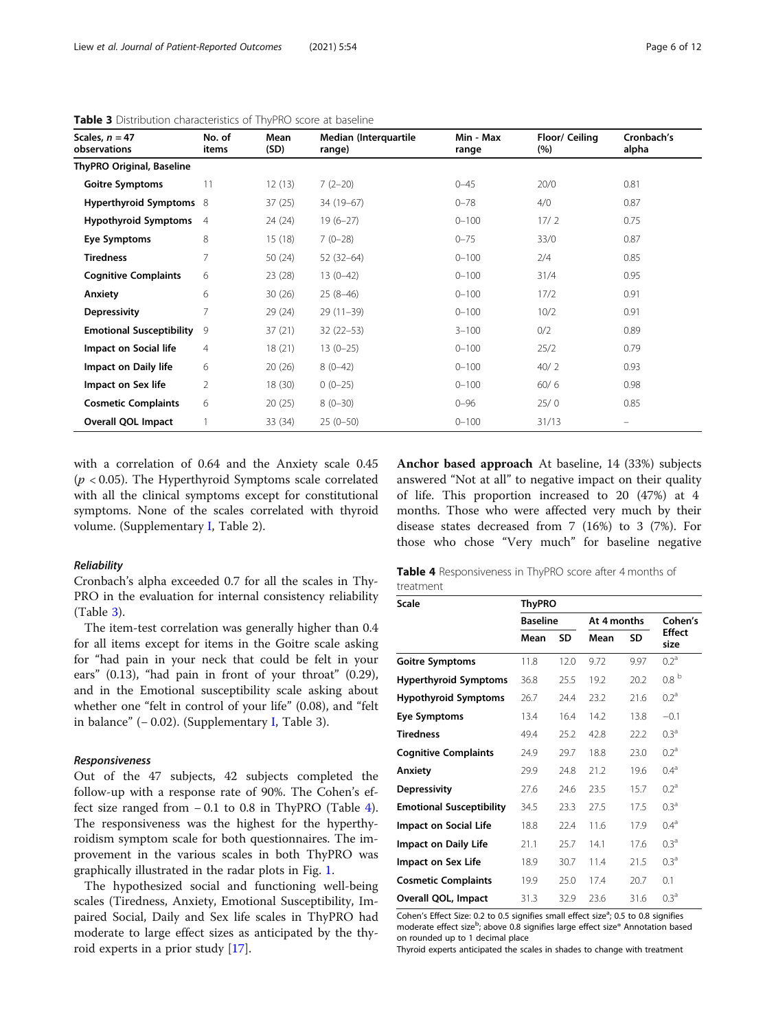| Scales, $n = 47$<br>observations | No. of<br>items | Mean<br>(SD) | Median (Interquartile<br>range) | Min - Max<br>range | Floor/ Ceiling<br>(%) | Cronbach's<br>alpha |
|----------------------------------|-----------------|--------------|---------------------------------|--------------------|-----------------------|---------------------|
| <b>ThyPRO Original, Baseline</b> |                 |              |                                 |                    |                       |                     |
| <b>Goitre Symptoms</b>           | 11              | 12(13)       | $7(2-20)$                       | $0 - 45$           | 20/0                  | 0.81                |
| Hyperthyroid Symptoms 8          |                 | 37(25)       | 34 (19-67)                      | $0 - 78$           | 4/0                   | 0.87                |
| <b>Hypothyroid Symptoms</b>      | $\overline{4}$  | 24 (24)      | $19(6-27)$                      | $0 - 100$          | 17/2                  | 0.75                |
| Eye Symptoms                     | 8               | 15(18)       | $7(0-28)$                       | $0 - 75$           | 33/0                  | 0.87                |
| <b>Tiredness</b>                 | 7               | 50(24)       | $52(32-64)$                     | $0 - 100$          | 2/4                   | 0.85                |
| <b>Cognitive Complaints</b>      | 6               | 23(28)       | $13(0-42)$                      | $0 - 100$          | 31/4                  | 0.95                |
| Anxiety                          | 6               | 30(26)       | $25(8-46)$                      | $0 - 100$          | 17/2                  | 0.91                |
| <b>Depressivity</b>              | 7               | 29(24)       | $29(11-39)$                     | $0 - 100$          | 10/2                  | 0.91                |
| <b>Emotional Susceptibility</b>  | 9               | 37(21)       | $32(22-53)$                     | $3 - 100$          | 0/2                   | 0.89                |
| Impact on Social life            | 4               | 18(21)       | $13(0-25)$                      | $0 - 100$          | 25/2                  | 0.79                |
| Impact on Daily life             | 6               | 20(26)       | $8(0-42)$                       | $0 - 100$          | 40/2                  | 0.93                |
| Impact on Sex life               | 2               | 18 (30)      | $0(0-25)$                       | $0 - 100$          | 60/6                  | 0.98                |
| <b>Cosmetic Complaints</b>       | 6               | 20(25)       | $8(0-30)$                       | $0 - 96$           | 25/0                  | 0.85                |
| <b>Overall QOL Impact</b>        |                 | 33 (34)      | $25(0-50)$                      | $0 - 100$          | 31/13                 | -                   |

<span id="page-5-0"></span>Table 3 Distribution characteristics of ThyPRO score at baseline

with a correlation of 0.64 and the Anxiety scale 0.45  $(p < 0.05)$ . The Hyperthyroid Symptoms scale correlated with all the clinical symptoms except for constitutional symptoms. None of the scales correlated with thyroid volume. (Supplementary [I,](#page-8-0) Table 2).

#### Reliability

Cronbach's alpha exceeded 0.7 for all the scales in Thy-PRO in the evaluation for internal consistency reliability (Table 3).

The item-test correlation was generally higher than 0.4 for all items except for items in the Goitre scale asking for "had pain in your neck that could be felt in your ears" (0.13), "had pain in front of your throat" (0.29), and in the Emotional susceptibility scale asking about whether one "felt in control of your life" (0.08), and "felt in balance" (− 0.02). (Supplementary [I,](#page-8-0) Table 3).

#### Responsiveness

Out of the 47 subjects, 42 subjects completed the follow-up with a response rate of 90%. The Cohen's effect size ranged from − 0.1 to 0.8 in ThyPRO (Table 4). The responsiveness was the highest for the hyperthyroidism symptom scale for both questionnaires. The improvement in the various scales in both ThyPRO was graphically illustrated in the radar plots in Fig. [1.](#page-6-0)

The hypothesized social and functioning well-being scales (Tiredness, Anxiety, Emotional Susceptibility, Impaired Social, Daily and Sex life scales in ThyPRO had moderate to large effect sizes as anticipated by the thyroid experts in a prior study [[17\]](#page-9-0).

Anchor based approach At baseline, 14 (33%) subjects answered "Not at all" to negative impact on their quality of life. This proportion increased to 20 (47%) at 4 months. Those who were affected very much by their disease states decreased from 7 (16%) to 3 (7%). For those who chose "Very much" for baseline negative

|           | <b>Table 4</b> Responsiveness in ThyPRO score after 4 months of |  |  |  |
|-----------|-----------------------------------------------------------------|--|--|--|
| treatment |                                                                 |  |  |  |

| <b>Scale</b>                    | <b>ThyPRO</b>   |      |             |      |                       |  |  |  |
|---------------------------------|-----------------|------|-------------|------|-----------------------|--|--|--|
|                                 | <b>Baseline</b> |      | At 4 months |      | Cohen's               |  |  |  |
|                                 | Mean            | SD   | Mean        | SD   | <b>Effect</b><br>size |  |  |  |
| <b>Goitre Symptoms</b>          | 11.8            | 12.0 | 9.72        | 9.97 | $0.2^{\rm a}$         |  |  |  |
| <b>Hyperthyroid Symptoms</b>    | 36.8            | 25.5 | 19.2        | 20.2 | 0.8 <sup>b</sup>      |  |  |  |
| <b>Hypothyroid Symptoms</b>     | 26.7            | 24.4 | 23.2        | 21.6 | 0.2 <sup>a</sup>      |  |  |  |
| Eye Symptoms                    | 13.4            | 16.4 | 14.2        | 13.8 | $-0.1$                |  |  |  |
| <b>Tiredness</b>                | 49.4            | 25.2 | 42.8        | 22.2 | 0.3 <sup>a</sup>      |  |  |  |
| <b>Cognitive Complaints</b>     | 24.9            | 29.7 | 18.8        | 23.0 | $0.2^{\rm a}$         |  |  |  |
| Anxiety                         | 29.9            | 24.8 | 21.2        | 19.6 | 0.4 <sup>a</sup>      |  |  |  |
| <b>Depressivity</b>             | 27.6            | 24.6 | 23.5        | 15.7 | $0.2^{\rm a}$         |  |  |  |
| <b>Emotional Susceptibility</b> | 34.5            | 23.3 | 27.5        | 17.5 | 0.3 <sup>a</sup>      |  |  |  |
| <b>Impact on Social Life</b>    | 18.8            | 22.4 | 11.6        | 17.9 | 0.4 <sup>a</sup>      |  |  |  |
| Impact on Daily Life            | 21.1            | 25.7 | 14.1        | 17.6 | 0.3 <sup>a</sup>      |  |  |  |
| Impact on Sex Life              | 18.9            | 30.7 | 11.4        | 21.5 | $0.3^{\rm a}$         |  |  |  |
| <b>Cosmetic Complaints</b>      | 19.9            | 25.0 | 17.4        | 20.7 | 0.1                   |  |  |  |
| Overall QOL, Impact             | 31.3            | 32.9 | 23.6        | 31.6 | 0.3 <sup>a</sup>      |  |  |  |

Cohen's Effect Size: 0.2 to 0.5 signifies small effect size<sup>a</sup>; 0.5 to 0.8 signifies moderate effect size<sup>b</sup>; above 0.8 signifies large effect size® Annotation based on rounded up to 1 decimal place

Thyroid experts anticipated the scales in shades to change with treatment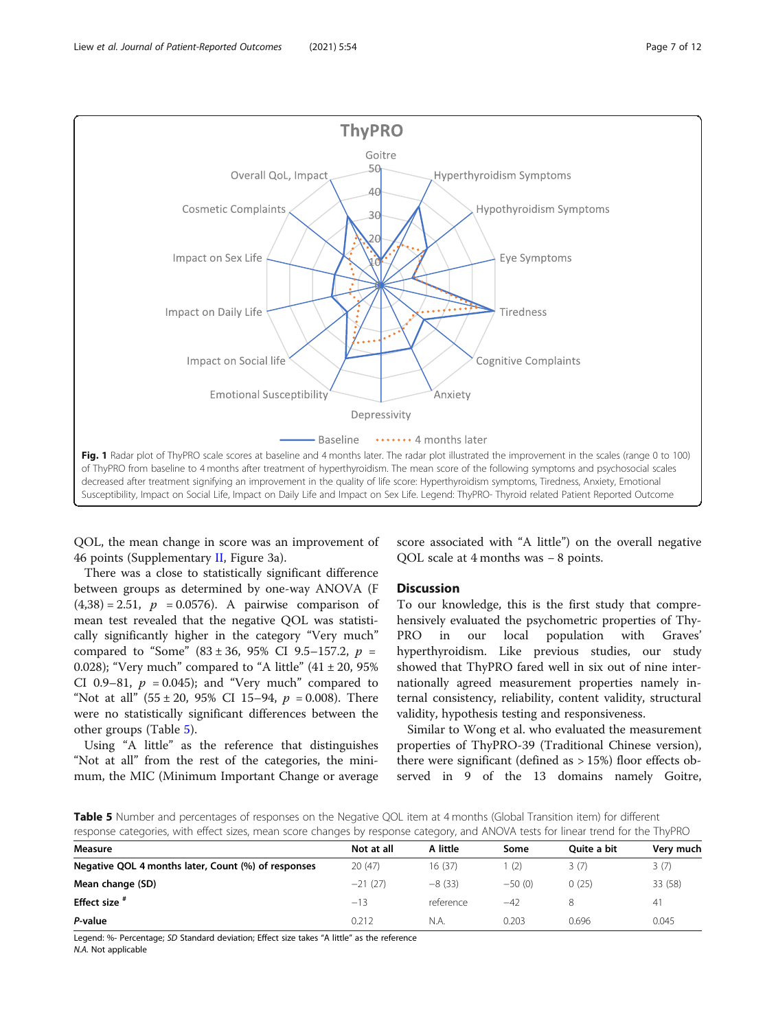<span id="page-6-0"></span>

QOL, the mean change in score was an improvement of 46 points (Supplementary [II,](#page-8-0) Figure 3a).

There was a close to statistically significant difference between groups as determined by one-way ANOVA (F  $(4,38) = 2.51$ ,  $p = 0.0576$ . A pairwise comparison of mean test revealed that the negative QOL was statistically significantly higher in the category "Very much" compared to "Some"  $(83 \pm 36, 95\% \text{ CI } 9.5-157.2, p =$ 0.028); "Very much" compared to "A little"  $(41 \pm 20, 95\%)$ CI 0.9–81,  $p = 0.045$ ; and "Very much" compared to "Not at all"  $(55 \pm 20, 95\% \text{ CI } 15-94, p = 0.008)$ . There were no statistically significant differences between the other groups (Table 5).

Using "A little" as the reference that distinguishes "Not at all" from the rest of the categories, the minimum, the MIC (Minimum Important Change or average score associated with "A little") on the overall negative QOL scale at 4 months was − 8 points.

# Discussion

To our knowledge, this is the first study that comprehensively evaluated the psychometric properties of Thy-PRO in our local population with Graves' hyperthyroidism. Like previous studies, our study showed that ThyPRO fared well in six out of nine internationally agreed measurement properties namely internal consistency, reliability, content validity, structural validity, hypothesis testing and responsiveness.

Similar to Wong et al. who evaluated the measurement properties of ThyPRO-39 (Traditional Chinese version), there were significant (defined as > 15%) floor effects observed in 9 of the 13 domains namely Goitre,

Table 5 Number and percentages of responses on the Negative QOL item at 4 months (Global Transition item) for different response categories, with effect sizes, mean score changes by response category, and ANOVA tests for linear trend for the ThyPRO

| Measure                                             | Not at all | A little  | Some     | <b>Ouite a bit</b> | Very much |
|-----------------------------------------------------|------------|-----------|----------|--------------------|-----------|
| Negative QOL 4 months later, Count (%) of responses | 20(47)     | 16(37)    | (2)      | 3(7)               | 3(7)      |
| Mean change (SD)                                    | $-21(27)$  | $-8(33)$  | $-50(0)$ | 0(25)              | 33 (58)   |
| Effect size <sup>#</sup>                            | $-13$      | reference | $-42$    |                    | 41        |
| P-value                                             | 0.212      | N.A.      | 0.203    | 0.696              | 0.045     |

Legend: %- Percentage; SD Standard deviation; Effect size takes "A little" as the reference N.A. Not applicable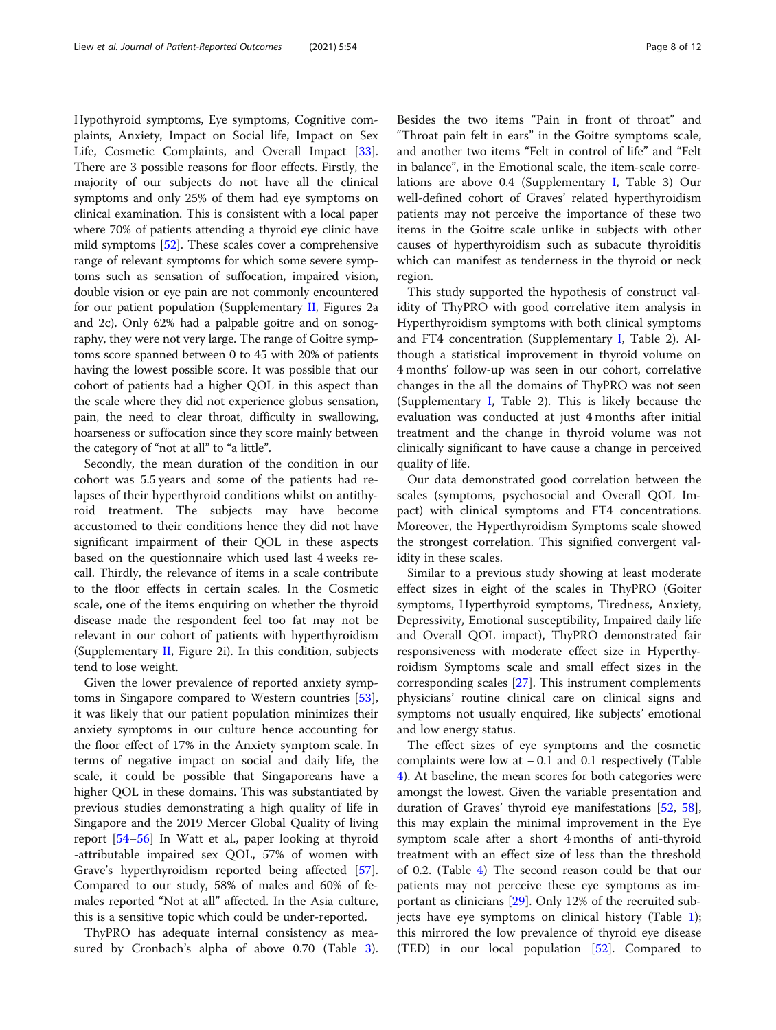Hypothyroid symptoms, Eye symptoms, Cognitive complaints, Anxiety, Impact on Social life, Impact on Sex Life, Cosmetic Complaints, and Overall Impact [\[33](#page-10-0)]. There are 3 possible reasons for floor effects. Firstly, the majority of our subjects do not have all the clinical symptoms and only 25% of them had eye symptoms on clinical examination. This is consistent with a local paper where 70% of patients attending a thyroid eye clinic have mild symptoms [[52](#page-10-0)]. These scales cover a comprehensive range of relevant symptoms for which some severe symptoms such as sensation of suffocation, impaired vision, double vision or eye pain are not commonly encountered for our patient population (Supplementary [II](#page-8-0), Figures 2a and 2c). Only 62% had a palpable goitre and on sonography, they were not very large. The range of Goitre symptoms score spanned between 0 to 45 with 20% of patients having the lowest possible score. It was possible that our cohort of patients had a higher QOL in this aspect than the scale where they did not experience globus sensation, pain, the need to clear throat, difficulty in swallowing, hoarseness or suffocation since they score mainly between the category of "not at all" to "a little".

Secondly, the mean duration of the condition in our cohort was 5.5 years and some of the patients had relapses of their hyperthyroid conditions whilst on antithyroid treatment. The subjects may have become accustomed to their conditions hence they did not have significant impairment of their QOL in these aspects based on the questionnaire which used last 4 weeks recall. Thirdly, the relevance of items in a scale contribute to the floor effects in certain scales. In the Cosmetic scale, one of the items enquiring on whether the thyroid disease made the respondent feel too fat may not be relevant in our cohort of patients with hyperthyroidism (Supplementary [II](#page-8-0), Figure 2i). In this condition, subjects tend to lose weight.

Given the lower prevalence of reported anxiety symptoms in Singapore compared to Western countries [\[53](#page-10-0)], it was likely that our patient population minimizes their anxiety symptoms in our culture hence accounting for the floor effect of 17% in the Anxiety symptom scale. In terms of negative impact on social and daily life, the scale, it could be possible that Singaporeans have a higher QOL in these domains. This was substantiated by previous studies demonstrating a high quality of life in Singapore and the 2019 Mercer Global Quality of living report [\[54](#page-10-0)–[56\]](#page-10-0) In Watt et al., paper looking at thyroid -attributable impaired sex QOL, 57% of women with Grave's hyperthyroidism reported being affected [\[57](#page-10-0)]. Compared to our study, 58% of males and 60% of females reported "Not at all" affected. In the Asia culture, this is a sensitive topic which could be under-reported.

ThyPRO has adequate internal consistency as mea-sured by Cronbach's alpha of above 0.70 (Table [3](#page-5-0)).

Besides the two items "Pain in front of throat" and "Throat pain felt in ears" in the Goitre symptoms scale, and another two items "Felt in control of life" and "Felt in balance", in the Emotional scale, the item-scale correlations are above 0.4 (Supplementary [I](#page-8-0), Table 3) Our well-defined cohort of Graves' related hyperthyroidism patients may not perceive the importance of these two items in the Goitre scale unlike in subjects with other causes of hyperthyroidism such as subacute thyroiditis which can manifest as tenderness in the thyroid or neck region.

This study supported the hypothesis of construct validity of ThyPRO with good correlative item analysis in Hyperthyroidism symptoms with both clinical symptoms and FT4 concentration (Supplementary [I,](#page-8-0) Table 2). Although a statistical improvement in thyroid volume on 4 months' follow-up was seen in our cohort, correlative changes in the all the domains of ThyPRO was not seen (Supplementary [I,](#page-8-0) Table 2). This is likely because the evaluation was conducted at just 4 months after initial treatment and the change in thyroid volume was not clinically significant to have cause a change in perceived quality of life.

Our data demonstrated good correlation between the scales (symptoms, psychosocial and Overall QOL Impact) with clinical symptoms and FT4 concentrations. Moreover, the Hyperthyroidism Symptoms scale showed the strongest correlation. This signified convergent validity in these scales.

Similar to a previous study showing at least moderate effect sizes in eight of the scales in ThyPRO (Goiter symptoms, Hyperthyroid symptoms, Tiredness, Anxiety, Depressivity, Emotional susceptibility, Impaired daily life and Overall QOL impact), ThyPRO demonstrated fair responsiveness with moderate effect size in Hyperthyroidism Symptoms scale and small effect sizes in the corresponding scales [\[27\]](#page-10-0). This instrument complements physicians' routine clinical care on clinical signs and symptoms not usually enquired, like subjects' emotional and low energy status.

The effect sizes of eye symptoms and the cosmetic complaints were low at − 0.1 and 0.1 respectively (Table [4\)](#page-5-0). At baseline, the mean scores for both categories were amongst the lowest. Given the variable presentation and duration of Graves' thyroid eye manifestations [\[52](#page-10-0), [58](#page-10-0)], this may explain the minimal improvement in the Eye symptom scale after a short 4 months of anti-thyroid treatment with an effect size of less than the threshold of 0.2. (Table [4](#page-5-0)) The second reason could be that our patients may not perceive these eye symptoms as important as clinicians [\[29](#page-10-0)]. Only 12% of the recruited subjects have eye symptoms on clinical history (Table [1](#page-4-0)); this mirrored the low prevalence of thyroid eye disease (TED) in our local population [[52\]](#page-10-0). Compared to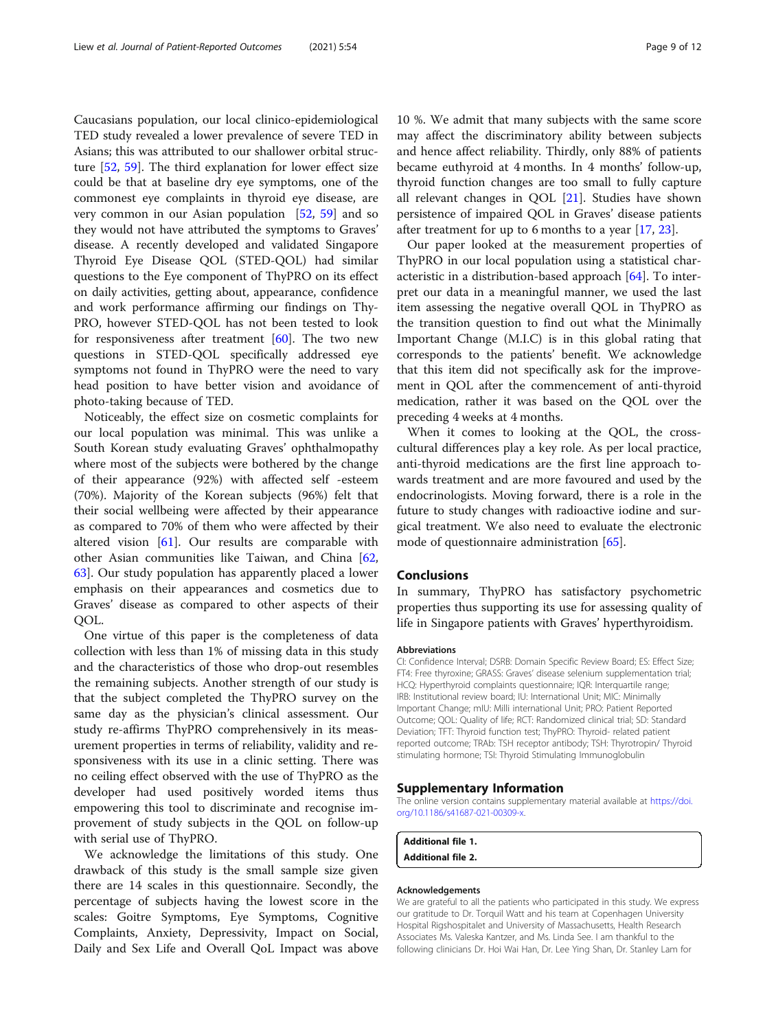<span id="page-8-0"></span>Caucasians population, our local clinico-epidemiological TED study revealed a lower prevalence of severe TED in Asians; this was attributed to our shallower orbital structure [[52,](#page-10-0) [59](#page-10-0)]. The third explanation for lower effect size could be that at baseline dry eye symptoms, one of the commonest eye complaints in thyroid eye disease, are very common in our Asian population [[52,](#page-10-0) [59\]](#page-10-0) and so they would not have attributed the symptoms to Graves' disease. A recently developed and validated Singapore Thyroid Eye Disease QOL (STED-QOL) had similar questions to the Eye component of ThyPRO on its effect on daily activities, getting about, appearance, confidence and work performance affirming our findings on Thy-PRO, however STED-QOL has not been tested to look for responsiveness after treatment  $[60]$  $[60]$ . The two new questions in STED-QOL specifically addressed eye symptoms not found in ThyPRO were the need to vary head position to have better vision and avoidance of photo-taking because of TED.

Noticeably, the effect size on cosmetic complaints for our local population was minimal. This was unlike a South Korean study evaluating Graves' ophthalmopathy where most of the subjects were bothered by the change of their appearance (92%) with affected self -esteem (70%). Majority of the Korean subjects (96%) felt that their social wellbeing were affected by their appearance as compared to 70% of them who were affected by their altered vision [[61\]](#page-11-0). Our results are comparable with other Asian communities like Taiwan, and China [[62](#page-11-0), [63\]](#page-11-0). Our study population has apparently placed a lower emphasis on their appearances and cosmetics due to Graves' disease as compared to other aspects of their QOL.

One virtue of this paper is the completeness of data collection with less than 1% of missing data in this study and the characteristics of those who drop-out resembles the remaining subjects. Another strength of our study is that the subject completed the ThyPRO survey on the same day as the physician's clinical assessment. Our study re-affirms ThyPRO comprehensively in its measurement properties in terms of reliability, validity and responsiveness with its use in a clinic setting. There was no ceiling effect observed with the use of ThyPRO as the developer had used positively worded items thus empowering this tool to discriminate and recognise improvement of study subjects in the QOL on follow-up with serial use of ThyPRO.

We acknowledge the limitations of this study. One drawback of this study is the small sample size given there are 14 scales in this questionnaire. Secondly, the percentage of subjects having the lowest score in the scales: Goitre Symptoms, Eye Symptoms, Cognitive Complaints, Anxiety, Depressivity, Impact on Social, Daily and Sex Life and Overall QoL Impact was above 10 %. We admit that many subjects with the same score may affect the discriminatory ability between subjects and hence affect reliability. Thirdly, only 88% of patients became euthyroid at 4 months. In 4 months' follow-up, thyroid function changes are too small to fully capture all relevant changes in QOL [[21\]](#page-10-0). Studies have shown persistence of impaired QOL in Graves' disease patients after treatment for up to 6 months to a year [[17,](#page-9-0) [23](#page-10-0)].

Our paper looked at the measurement properties of ThyPRO in our local population using a statistical characteristic in a distribution-based approach [\[64\]](#page-11-0). To interpret our data in a meaningful manner, we used the last item assessing the negative overall QOL in ThyPRO as the transition question to find out what the Minimally Important Change (M.I.C) is in this global rating that corresponds to the patients' benefit. We acknowledge that this item did not specifically ask for the improvement in QOL after the commencement of anti-thyroid medication, rather it was based on the QOL over the preceding 4 weeks at 4 months.

When it comes to looking at the QOL, the crosscultural differences play a key role. As per local practice, anti-thyroid medications are the first line approach towards treatment and are more favoured and used by the endocrinologists. Moving forward, there is a role in the future to study changes with radioactive iodine and surgical treatment. We also need to evaluate the electronic mode of questionnaire administration [[65](#page-11-0)].

#### Conclusions

In summary, ThyPRO has satisfactory psychometric properties thus supporting its use for assessing quality of life in Singapore patients with Graves' hyperthyroidism.

#### Abbreviations

CI: Confidence Interval; DSRB: Domain Specific Review Board; ES: Effect Size; FT4: Free thyroxine; GRASS: Graves' disease selenium supplementation trial; HCQ: Hyperthyroid complaints questionnaire; IQR: Interquartile range; IRB: Institutional review board; IU: International Unit; MIC: Minimally Important Change; mIU: Milli international Unit; PRO: Patient Reported Outcome; QOL: Quality of life; RCT: Randomized clinical trial; SD: Standard Deviation; TFT: Thyroid function test; ThyPRO: Thyroid- related patient reported outcome; TRAb: TSH receptor antibody; TSH: Thyrotropin/ Thyroid stimulating hormone; TSI: Thyroid Stimulating Immunoglobulin

#### Supplementary Information

The online version contains supplementary material available at [https://doi.](https://doi.org/10.1186/s41687-021-00309-x) [org/10.1186/s41687-021-00309-x](https://doi.org/10.1186/s41687-021-00309-x).

```
Additional file 1.
Additional file 2.
```
#### Acknowledgements

We are grateful to all the patients who participated in this study. We express our gratitude to Dr. Torquil Watt and his team at Copenhagen University Hospital Rigshospitalet and University of Massachusetts, Health Research Associates Ms. Valeska Kantzer, and Ms. Linda See. I am thankful to the following clinicians Dr. Hoi Wai Han, Dr. Lee Ying Shan, Dr. Stanley Lam for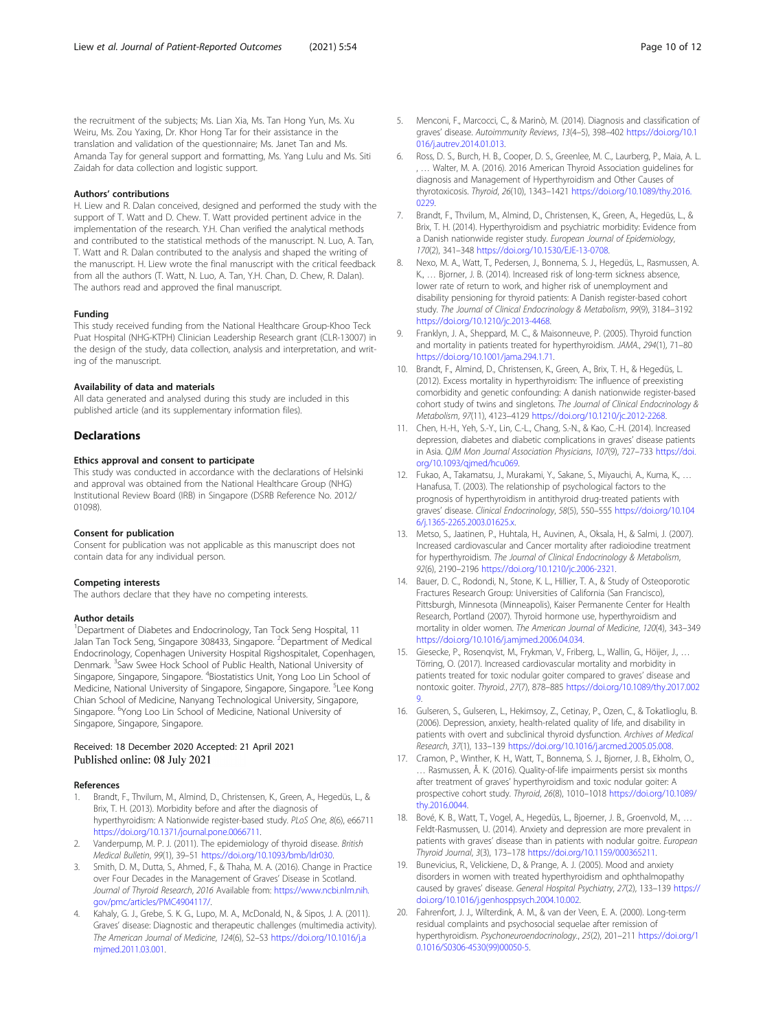<span id="page-9-0"></span>the recruitment of the subjects; Ms. Lian Xia, Ms. Tan Hong Yun, Ms. Xu Weiru, Ms. Zou Yaxing, Dr. Khor Hong Tar for their assistance in the translation and validation of the questionnaire; Ms. Janet Tan and Ms. Amanda Tay for general support and formatting, Ms. Yang Lulu and Ms. Siti Zaidah for data collection and logistic support.

#### Authors' contributions

H. Liew and R. Dalan conceived, designed and performed the study with the support of T. Watt and D. Chew. T. Watt provided pertinent advice in the implementation of the research. Y.H. Chan verified the analytical methods and contributed to the statistical methods of the manuscript. N. Luo, A. Tan, T. Watt and R. Dalan contributed to the analysis and shaped the writing of the manuscript. H. Liew wrote the final manuscript with the critical feedback from all the authors (T. Watt, N. Luo, A. Tan, Y.H. Chan, D. Chew, R. Dalan). The authors read and approved the final manuscript.

#### Funding

This study received funding from the National Healthcare Group-Khoo Teck Puat Hospital (NHG-KTPH) Clinician Leadership Research grant (CLR-13007) in the design of the study, data collection, analysis and interpretation, and writing of the manuscript.

#### Availability of data and materials

All data generated and analysed during this study are included in this published article (and its supplementary information files).

#### **Declarations**

### Ethics approval and consent to participate

This study was conducted in accordance with the declarations of Helsinki and approval was obtained from the National Healthcare Group (NHG) Institutional Review Board (IRB) in Singapore (DSRB Reference No. 2012/ 01098).

#### Consent for publication

Consent for publication was not applicable as this manuscript does not contain data for any individual person.

#### Competing interests

The authors declare that they have no competing interests.

#### Author details

<sup>1</sup>Department of Diabetes and Endocrinology, Tan Tock Seng Hospital, 11 Jalan Tan Tock Seng, Singapore 308433, Singapore. <sup>2</sup>Department of Medical Endocrinology, Copenhagen University Hospital Rigshospitalet, Copenhagen, Denmark. <sup>3</sup>Saw Swee Hock School of Public Health, National University of Singapore, Singapore, Singapore. <sup>4</sup>Biostatistics Unit, Yong Loo Lin School of Medicine, National University of Singapore, Singapore, Singapore. <sup>5</sup>Lee Kong Chian School of Medicine, Nanyang Technological University, Singapore, Singapore. <sup>6</sup>Yong Loo Lin School of Medicine, National University of Singapore, Singapore, Singapore.

#### Received: 18 December 2020 Accepted: 21 April 2021 Published online: 08 July 2021

#### References

- 1. Brandt, F., Thvilum, M., Almind, D., Christensen, K., Green, A., Hegedüs, L., & Brix, T. H. (2013). Morbidity before and after the diagnosis of hyperthyroidism: A Nationwide register-based study. PLoS One, 8(6), e66711 [https://doi.org/10.1371/journal.pone.0066711.](https://doi.org/10.1371/journal.pone.0066711)
- Vanderpump, M. P. J. (2011). The epidemiology of thyroid disease. British Medical Bulletin, 99(1), 39–51 <https://doi.org/10.1093/bmb/ldr030>.
- 3. Smith, D. M., Dutta, S., Ahmed, F., & Thaha, M. A. (2016). Change in Practice over Four Decades in the Management of Graves' Disease in Scotland. Journal of Thyroid Research, 2016 Available from: [https://www.ncbi.nlm.nih.](https://www.ncbi.nlm.nih.gov/pmc/articles/PMC4904117/) [gov/pmc/articles/PMC4904117/.](https://www.ncbi.nlm.nih.gov/pmc/articles/PMC4904117/)
- Kahaly, G. J., Grebe, S. K. G., Lupo, M. A., McDonald, N., & Sipos, J. A. (2011). Graves' disease: Diagnostic and therapeutic challenges (multimedia activity). The American Journal of Medicine, 124(6), S2–S3 [https://doi.org/10.1016/j.a](https://doi.org/10.1016/j.amjmed.2011.03.001) [mjmed.2011.03.001](https://doi.org/10.1016/j.amjmed.2011.03.001).
- 5. Menconi, F., Marcocci, C., & Marinò, M. (2014). Diagnosis and classification of graves' disease. Autoimmunity Reviews, 13(4–5), 398–402 [https://doi.org/10.1](https://doi.org/10.1016/j.autrev.2014.01.013) [016/j.autrev.2014.01.013](https://doi.org/10.1016/j.autrev.2014.01.013).
- 6. Ross, D. S., Burch, H. B., Cooper, D. S., Greenlee, M. C., Laurberg, P., Maia, A. L. , … Walter, M. A. (2016). 2016 American Thyroid Association guidelines for diagnosis and Management of Hyperthyroidism and Other Causes of thyrotoxicosis. Thyroid, 26(10), 1343–1421 [https://doi.org/10.1089/thy.2016.](https://doi.org/10.1089/thy.2016.0229) [0229](https://doi.org/10.1089/thy.2016.0229).
- 7. Brandt, F., Thvilum, M., Almind, D., Christensen, K., Green, A., Hegedüs, L., & Brix, T. H. (2014). Hyperthyroidism and psychiatric morbidity: Evidence from a Danish nationwide register study. European Journal of Epidemiology, 170(2), 341–348 [https://doi.org/10.1530/EJE-13-0708.](https://doi.org/10.1530/EJE-13-0708)
- 8. Nexo, M. A., Watt, T., Pedersen, J., Bonnema, S. J., Hegedüs, L., Rasmussen, A. K., … Bjorner, J. B. (2014). Increased risk of long-term sickness absence, lower rate of return to work, and higher risk of unemployment and disability pensioning for thyroid patients: A Danish register-based cohort study. The Journal of Clinical Endocrinology & Metabolism, 99(9), 3184–3192 <https://doi.org/10.1210/jc.2013-4468>.
- 9. Franklyn, J. A., Sheppard, M. C., & Maisonneuve, P. (2005). Thyroid function and mortality in patients treated for hyperthyroidism. JAMA., 294(1), 71–80 [https://doi.org/10.1001/jama.294.1.71.](https://doi.org/10.1001/jama.294.1.71)
- 10. Brandt, F., Almind, D., Christensen, K., Green, A., Brix, T. H., & Hegedüs, L. (2012). Excess mortality in hyperthyroidism: The influence of preexisting comorbidity and genetic confounding: A danish nationwide register-based cohort study of twins and singletons. The Journal of Clinical Endocrinology & Metabolism, 97(11), 4123–4129 [https://doi.org/10.1210/jc.2012-2268.](https://doi.org/10.1210/jc.2012-2268)
- 11. Chen, H.-H., Yeh, S.-Y., Lin, C.-L., Chang, S.-N., & Kao, C.-H. (2014). Increased depression, diabetes and diabetic complications in graves' disease patients in Asia. QJM Mon Journal Association Physicians, 107(9), 727–733 [https://doi.](https://doi.org/10.1093/qjmed/hcu069) [org/10.1093/qjmed/hcu069.](https://doi.org/10.1093/qjmed/hcu069)
- 12. Fukao, A., Takamatsu, J., Murakami, Y., Sakane, S., Miyauchi, A., Kuma, K., … Hanafusa, T. (2003). The relationship of psychological factors to the prognosis of hyperthyroidism in antithyroid drug-treated patients with graves' disease. Clinical Endocrinology, 58(5), 550–555 [https://doi.org/10.104](https://doi.org/10.1046/j.1365-2265.2003.01625.x) [6/j.1365-2265.2003.01625.x.](https://doi.org/10.1046/j.1365-2265.2003.01625.x)
- 13. Metso, S., Jaatinen, P., Huhtala, H., Auvinen, A., Oksala, H., & Salmi, J. (2007). Increased cardiovascular and Cancer mortality after radioiodine treatment for hyperthyroidism. The Journal of Clinical Endocrinology & Metabolism, 92(6), 2190–2196 <https://doi.org/10.1210/jc.2006-2321>.
- 14. Bauer, D. C., Rodondi, N., Stone, K. L., Hillier, T. A., & Study of Osteoporotic Fractures Research Group: Universities of California (San Francisco), Pittsburgh, Minnesota (Minneapolis), Kaiser Permanente Center for Health Research, Portland (2007). Thyroid hormone use, hyperthyroidism and mortality in older women. The American Journal of Medicine, 120(4), 343–349 <https://doi.org/10.1016/j.amjmed.2006.04.034>.
- 15. Giesecke, P., Rosenqvist, M., Frykman, V., Friberg, L., Wallin, G., Höijer, J., … Törring, O. (2017). Increased cardiovascular mortality and morbidity in patients treated for toxic nodular goiter compared to graves' disease and nontoxic goiter. Thyroid., 27(7), 878–885 [https://doi.org/10.1089/thy.2017.002](https://doi.org/10.1089/thy.2017.0029) [9](https://doi.org/10.1089/thy.2017.0029).
- 16. Gulseren, S., Gulseren, L., Hekimsoy, Z., Cetinay, P., Ozen, C., & Tokatlioglu, B. (2006). Depression, anxiety, health-related quality of life, and disability in patients with overt and subclinical thyroid dysfunction. Archives of Medical Research, 37(1), 133–139 [https://doi.org/10.1016/j.arcmed.2005.05.008.](https://doi.org/10.1016/j.arcmed.2005.05.008)
- 17. Cramon, P., Winther, K. H., Watt, T., Bonnema, S. J., Bjorner, J. B., Ekholm, O., … Rasmussen, Å. K. (2016). Quality-of-life impairments persist six months after treatment of graves' hyperthyroidism and toxic nodular goiter: A prospective cohort study. Thyroid, 26(8), 1010–1018 [https://doi.org/10.1089/](https://doi.org/10.1089/thy.2016.0044) [thy.2016.0044](https://doi.org/10.1089/thy.2016.0044).
- 18. Bové, K. B., Watt, T., Vogel, A., Hegedüs, L., Bjoerner, J. B., Groenvold, M., … Feldt-Rasmussen, U. (2014). Anxiety and depression are more prevalent in patients with graves' disease than in patients with nodular goitre. European Thyroid Journal, 3(3), 173–178 <https://doi.org/10.1159/000365211>.
- 19. Bunevicius, R., Velickiene, D., & Prange, A. J. (2005). Mood and anxiety disorders in women with treated hyperthyroidism and ophthalmopathy caused by graves' disease. General Hospital Psychiatry, 27(2), 133–139 [https://](https://doi.org/10.1016/j.genhosppsych.2004.10.002) [doi.org/10.1016/j.genhosppsych.2004.10.002.](https://doi.org/10.1016/j.genhosppsych.2004.10.002)
- 20. Fahrenfort, J. J., Wilterdink, A. M., & van der Veen, E. A. (2000). Long-term residual complaints and psychosocial sequelae after remission of hyperthyroidism. Psychoneuroendocrinology., 25(2), 201–211 [https://doi.org/1](https://doi.org/10.1016/S0306-4530(99)00050-5) [0.1016/S0306-4530\(99\)00050-5](https://doi.org/10.1016/S0306-4530(99)00050-5).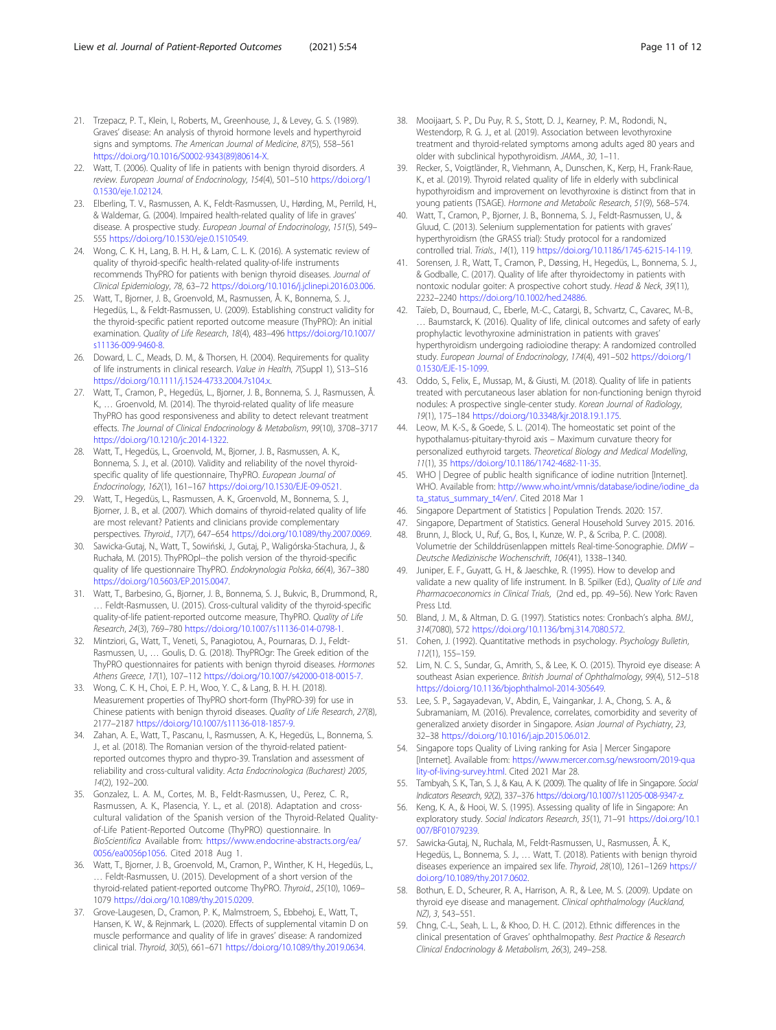- <span id="page-10-0"></span>21. Trzepacz, P. T., Klein, I., Roberts, M., Greenhouse, J., & Levey, G. S. (1989). Graves' disease: An analysis of thyroid hormone levels and hyperthyroid signs and symptoms. The American Journal of Medicine, 87(5), 558–561 [https://doi.org/10.1016/S0002-9343\(89\)80614-X](https://doi.org/10.1016/S0002-9343(89)80614-X).
- 22. Watt, T. (2006). Quality of life in patients with benign thyroid disorders. A review. European Journal of Endocrinology, 154(4), 501–510 [https://doi.org/1](https://doi.org/10.1530/eje.1.02124) [0.1530/eje.1.02124.](https://doi.org/10.1530/eje.1.02124)
- 23. Elberling, T. V., Rasmussen, A. K., Feldt-Rasmussen, U., Hørding, M., Perrild, H., & Waldemar, G. (2004). Impaired health-related quality of life in graves' disease. A prospective study. European Journal of Endocrinology, 151(5), 549– 555 <https://doi.org/10.1530/eje.0.1510549>.
- 24. Wong, C. K. H., Lang, B. H. H., & Lam, C. L. K. (2016). A systematic review of quality of thyroid-specific health-related quality-of-life instruments recommends ThyPRO for patients with benign thyroid diseases. Journal of Clinical Epidemiology, 78, 63–72 [https://doi.org/10.1016/j.jclinepi.2016.03.006.](https://doi.org/10.1016/j.jclinepi.2016.03.006)
- 25. Watt, T., Bjorner, J. B., Groenvold, M., Rasmussen, Å. K., Bonnema, S. J., Hegedüs, L., & Feldt-Rasmussen, U. (2009). Establishing construct validity for the thyroid-specific patient reported outcome measure (ThyPRO): An initial examination. Quality of Life Research, 18(4), 483–496 [https://doi.org/10.1007/](https://doi.org/10.1007/s11136-009-9460-8) [s11136-009-9460-8.](https://doi.org/10.1007/s11136-009-9460-8)
- 26. Doward, L. C., Meads, D. M., & Thorsen, H. (2004). Requirements for quality of life instruments in clinical research. Value in Health, 7(Suppl 1), S13–S16 <https://doi.org/10.1111/j.1524-4733.2004.7s104.x>.
- 27. Watt, T., Cramon, P., Hegedüs, L., Bjorner, J. B., Bonnema, S. J., Rasmussen, Å. K., … Groenvold, M. (2014). The thyroid-related quality of life measure ThyPRO has good responsiveness and ability to detect relevant treatment effects. The Journal of Clinical Endocrinology & Metabolism, 99(10), 3708–3717 <https://doi.org/10.1210/jc.2014-1322>.
- 28. Watt, T., Hegedüs, L., Groenvold, M., Bjorner, J. B., Rasmussen, A. K., Bonnema, S. J., et al. (2010). Validity and reliability of the novel thyroidspecific quality of life questionnaire, ThyPRO. European Journal of Endocrinology, 162(1), 161–167 [https://doi.org/10.1530/EJE-09-0521.](https://doi.org/10.1530/EJE-09-0521)
- 29. Watt, T., Hegedüs, L., Rasmussen, A. K., Groenvold, M., Bonnema, S. J., Bjorner, J. B., et al. (2007). Which domains of thyroid-related quality of life are most relevant? Patients and clinicians provide complementary perspectives. Thyroid., 17(7), 647–654 [https://doi.org/10.1089/thy.2007.0069.](https://doi.org/10.1089/thy.2007.0069)
- 30. Sawicka-Gutaj, N., Watt, T., Sowiński, J., Gutaj, P., Waligórska-Stachura, J., & Ruchała, M. (2015). ThyPROpl--the polish version of the thyroid-specific quality of life questionnaire ThyPRO. Endokrynologia Polska, 66(4), 367–380 <https://doi.org/10.5603/EP.2015.0047>.
- 31. Watt, T., Barbesino, G., Bjorner, J. B., Bonnema, S. J., Bukvic, B., Drummond, R., … Feldt-Rasmussen, U. (2015). Cross-cultural validity of the thyroid-specific quality-of-life patient-reported outcome measure, ThyPRO. Quality of Life Research, 24(3), 769–780 <https://doi.org/10.1007/s11136-014-0798-1>.
- 32. Mintziori, G., Watt, T., Veneti, S., Panagiotou, A., Pournaras, D. J., Feldt-Rasmussen, U., … Goulis, D. G. (2018). ThyPROgr: The Greek edition of the ThyPRO questionnaires for patients with benign thyroid diseases. Hormones Athens Greece, 17(1), 107–112 <https://doi.org/10.1007/s42000-018-0015-7>.
- 33. Wong, C. K. H., Choi, E. P. H., Woo, Y. C., & Lang, B. H. H. (2018). Measurement properties of ThyPRO short-form (ThyPRO-39) for use in Chinese patients with benign thyroid diseases. Quality of Life Research, 27(8), 2177–2187 <https://doi.org/10.1007/s11136-018-1857-9>.
- 34. Zahan, A. E., Watt, T., Pascanu, I., Rasmussen, A. K., Hegedüs, L., Bonnema, S. J., et al. (2018). The Romanian version of the thyroid-related patientreported outcomes thypro and thypro-39. Translation and assessment of reliability and cross-cultural validity. Acta Endocrinologica (Bucharest) 2005, 14(2), 192–200.
- 35. Gonzalez, L. A. M., Cortes, M. B., Feldt-Rasmussen, U., Perez, C. R., Rasmussen, A. K., Plasencia, Y. L., et al. (2018). Adaptation and crosscultural validation of the Spanish version of the Thyroid-Related Qualityof-Life Patient-Reported Outcome (ThyPRO) questionnaire. In BioScientifica Available from: [https://www.endocrine-abstracts.org/ea/](https://www.endocrine-abstracts.org/ea/0056/ea0056p1056) [0056/ea0056p1056.](https://www.endocrine-abstracts.org/ea/0056/ea0056p1056) Cited 2018 Aug 1.
- 36. Watt, T., Bjorner, J. B., Groenvold, M., Cramon, P., Winther, K. H., Hegedüs, L., … Feldt-Rasmussen, U. (2015). Development of a short version of the thyroid-related patient-reported outcome ThyPRO. Thyroid., 25(10), 1069– 1079 <https://doi.org/10.1089/thy.2015.0209>.
- 37. Grove-Laugesen, D., Cramon, P. K., Malmstroem, S., Ebbehoj, E., Watt, T., Hansen, K. W., & Rejnmark, L. (2020). Effects of supplemental vitamin D on muscle performance and quality of life in graves' disease: A randomized clinical trial. Thyroid, 30(5), 661–671 <https://doi.org/10.1089/thy.2019.0634>.
- 38. Mooijaart, S. P., Du Puy, R. S., Stott, D. J., Kearney, P. M., Rodondi, N., Westendorp, R. G. J., et al. (2019). Association between levothyroxine treatment and thyroid-related symptoms among adults aged 80 years and older with subclinical hypothyroidism. JAMA., 30, 1–11.
- 39. Recker, S., Voigtländer, R., Viehmann, A., Dunschen, K., Kerp, H., Frank-Raue, K., et al. (2019). Thyroid related quality of life in elderly with subclinical hypothyroidism and improvement on levothyroxine is distinct from that in young patients (TSAGE). Hormone and Metabolic Research, 51(9), 568–574.
- 40. Watt, T., Cramon, P., Bjorner, J. B., Bonnema, S. J., Feldt-Rasmussen, U., & Gluud, C. (2013). Selenium supplementation for patients with graves' hyperthyroidism (the GRASS trial): Study protocol for a randomized controlled trial. Trials., 14(1), 119 <https://doi.org/10.1186/1745-6215-14-119>.
- 41. Sorensen, J. R., Watt, T., Cramon, P., Døssing, H., Hegedüs, L., Bonnema, S. J., & Godballe, C. (2017). Quality of life after thyroidectomy in patients with nontoxic nodular goiter: A prospective cohort study. Head & Neck, 39(11), 2232–2240 <https://doi.org/10.1002/hed.24886>.
- 42. Taïeb, D., Bournaud, C., Eberle, M.-C., Catargi, B., Schvartz, C., Cavarec, M.-B., … Baumstarck, K. (2016). Quality of life, clinical outcomes and safety of early prophylactic levothyroxine administration in patients with graves' hyperthyroidism undergoing radioiodine therapy: A randomized controlled study. European Journal of Endocrinology, 174(4), 491–502 [https://doi.org/1](https://doi.org/10.1530/EJE-15-1099) [0.1530/EJE-15-1099](https://doi.org/10.1530/EJE-15-1099).
- 43. Oddo, S., Felix, E., Mussap, M., & Giusti, M. (2018). Quality of life in patients treated with percutaneous laser ablation for non-functioning benign thyroid nodules: A prospective single-center study. Korean Journal of Radiology, 19(1), 175–184 <https://doi.org/10.3348/kjr.2018.19.1.175>.
- 44. Leow, M. K.-S., & Goede, S. L. (2014). The homeostatic set point of the hypothalamus-pituitary-thyroid axis – Maximum curvature theory for personalized euthyroid targets. Theoretical Biology and Medical Modelling, 11(1), 35 <https://doi.org/10.1186/1742-4682-11-35>.
- 45. WHO | Degree of public health significance of iodine nutrition [Internet]. WHO. Available from: [http://www.who.int/vmnis/database/iodine/iodine\\_da](http://www.who.int/vmnis/database/iodine/iodine_data_status_summary_t4/en/) [ta\\_status\\_summary\\_t4/en/](http://www.who.int/vmnis/database/iodine/iodine_data_status_summary_t4/en/). Cited 2018 Mar 1
- 46. Singapore Department of Statistics | Population Trends. 2020: 157.
- 47. Singapore, Department of Statistics. General Household Survey 2015. 2016.
- 48. Brunn, J., Block, U., Ruf, G., Bos, I., Kunze, W. P., & Scriba, P. C. (2008). Volumetrie der Schilddrüsenlappen mittels Real-time-Sonographie. DMW – Deutsche Medizinische Wochenschrift, 106(41), 1338–1340.
- 49. Juniper, E. F., Guyatt, G. H., & Jaeschke, R. (1995). How to develop and validate a new quality of life instrument. In B. Spilker (Ed.), Quality of Life and Pharmacoeconomics in Clinical Trials, (2nd ed., pp. 49–56). New York: Raven Press Ltd.
- 50. Bland, J. M., & Altman, D. G. (1997). Statistics notes: Cronbach's alpha. BMJ., 314(7080), 572 [https://doi.org/10.1136/bmj.314.7080.572.](https://doi.org/10.1136/bmj.314.7080.572)
- 51. Cohen, J. (1992). Quantitative methods in psychology. Psychology Bulletin, 112(1), 155–159.
- 52. Lim, N. C. S., Sundar, G., Amrith, S., & Lee, K. O. (2015). Thyroid eye disease: A southeast Asian experience. British Journal of Ophthalmology, 99(4), 512–518 [https://doi.org/10.1136/bjophthalmol-2014-305649.](https://doi.org/10.1136/bjophthalmol-2014-305649)
- 53. Lee, S. P., Sagayadevan, V., Abdin, E., Vaingankar, J. A., Chong, S. A., & Subramaniam, M. (2016). Prevalence, correlates, comorbidity and severity of generalized anxiety disorder in Singapore. Asian Journal of Psychiatry, 23, 32–38 [https://doi.org/10.1016/j.ajp.2015.06.012.](https://doi.org/10.1016/j.ajp.2015.06.012)
- 54. Singapore tops Quality of Living ranking for Asia | Mercer Singapore [Internet]. Available from: [https://www.mercer.com.sg/newsroom/2019-qua](https://www.mercer.com.sg/newsroom/2019-quality-of-living-survey.html) [lity-of-living-survey.html.](https://www.mercer.com.sg/newsroom/2019-quality-of-living-survey.html) Cited 2021 Mar 28.
- 55. Tambyah, S. K., Tan, S. J., & Kau, A. K. (2009). The quality of life in Singapore. Social Indicators Research, 92(2), 337–376 [https://doi.org/10.1007/s11205-008-9347-z.](https://doi.org/10.1007/s11205-008-9347-z)
- 56. Keng, K. A., & Hooi, W. S. (1995). Assessing quality of life in Singapore: An exploratory study. Social Indicators Research, 35(1), 71–91 [https://doi.org/10.1](https://doi.org/10.1007/BF01079239) [007/BF01079239.](https://doi.org/10.1007/BF01079239)
- 57. Sawicka-Gutaj, N., Ruchala, M., Feldt-Rasmussen, U., Rasmussen, Å. K., Hegedüs, L., Bonnema, S. J., … Watt, T. (2018). Patients with benign thyroid diseases experience an impaired sex life. Thyroid, 28(10), 1261–1269 [https://](https://doi.org/10.1089/thy.2017.0602) [doi.org/10.1089/thy.2017.0602](https://doi.org/10.1089/thy.2017.0602).
- 58. Bothun, E. D., Scheurer, R. A., Harrison, A. R., & Lee, M. S. (2009). Update on thyroid eye disease and management. Clinical ophthalmology (Auckland, NZ), 3, 543–551.
- 59. Chng, C.-L., Seah, L. L., & Khoo, D. H. C. (2012). Ethnic differences in the clinical presentation of Graves' ophthalmopathy. Best Practice & Research Clinical Endocrinology & Metabolism, 26(3), 249–258.